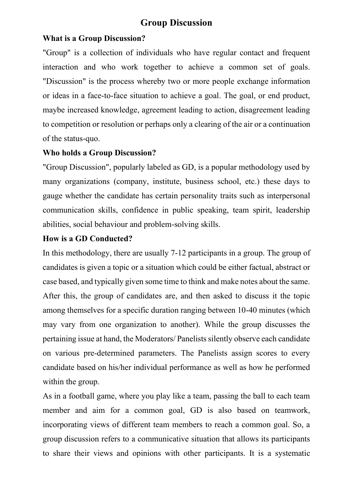# **Group Discussion**

#### **What is a Group Discussion?**

"Group" is a collection of individuals who have regular contact and frequent interaction and who work together to achieve a common set of goals. "Discussion" is the process whereby two or more people exchange information or ideas in a face-to-face situation to achieve a goal. The goal, or end product, maybe increased knowledge, agreement leading to action, disagreement leading to competition or resolution or perhaps only a clearing of the air or a continuation of the status-quo.

### **Who holds a Group Discussion?**

"Group Discussion", popularly labeled as GD, is a popular methodology used by many organizations (company, institute, business school, etc.) these days to gauge whether the candidate has certain personality traits such as interpersonal communication skills, confidence in public speaking, team spirit, leadership abilities, social behaviour and problem-solving skills.

### **How is a GD Conducted?**

In this methodology, there are usually 7-12 participants in a group. The group of candidates is given a topic or a situation which could be either factual, abstract or case based, and typically given some time to think and make notes about the same. After this, the group of candidates are, and then asked to discuss it the topic among themselves for a specific duration ranging between 10-40 minutes (which may vary from one organization to another). While the group discusses the pertaining issue at hand, the Moderators/ Panelists silently observe each candidate on various pre-determined parameters. The Panelists assign scores to every candidate based on his/her individual performance as well as how he performed within the group.

As in a football game, where you play like a team, passing the ball to each team member and aim for a common goal, GD is also based on teamwork, incorporating views of different team members to reach a common goal. So, a group discussion refers to a communicative situation that allows its participants to share their views and opinions with other participants. It is a systematic